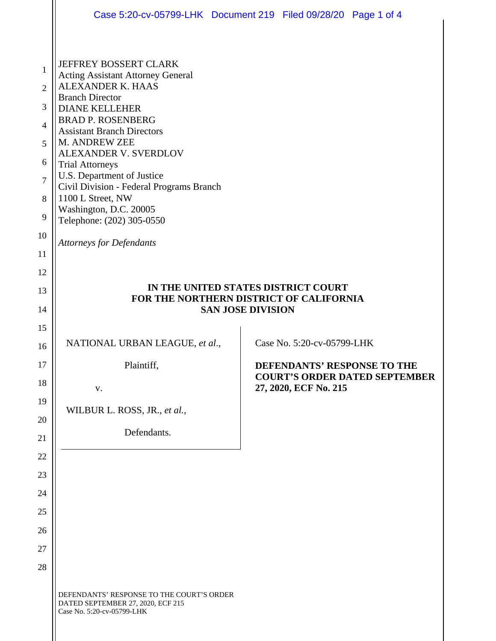|                | Case 5:20-cv-05799-LHK Document 219 Filed 09/28/20 Page 1 of 4                                               |                          |                            |                                                                     |  |  |
|----------------|--------------------------------------------------------------------------------------------------------------|--------------------------|----------------------------|---------------------------------------------------------------------|--|--|
|                |                                                                                                              |                          |                            |                                                                     |  |  |
| 1              | JEFFREY BOSSERT CLARK<br><b>Acting Assistant Attorney General</b>                                            |                          |                            |                                                                     |  |  |
| $\overline{2}$ | ALEXANDER K. HAAS<br><b>Branch Director</b>                                                                  |                          |                            |                                                                     |  |  |
| 3              | <b>DIANE KELLEHER</b>                                                                                        |                          |                            |                                                                     |  |  |
| 4              | <b>BRAD P. ROSENBERG</b><br><b>Assistant Branch Directors</b>                                                |                          |                            |                                                                     |  |  |
| 5              | M. ANDREW ZEE<br>ALEXANDER V. SVERDLOV                                                                       |                          |                            |                                                                     |  |  |
| 6              | <b>Trial Attorneys</b><br>U.S. Department of Justice<br>Civil Division - Federal Programs Branch             |                          |                            |                                                                     |  |  |
| $\overline{7}$ |                                                                                                              |                          |                            |                                                                     |  |  |
| 8              | 1100 L Street, NW<br>Washington, D.C. 20005                                                                  |                          |                            |                                                                     |  |  |
| 9              | Telephone: (202) 305-0550                                                                                    |                          |                            |                                                                     |  |  |
| 10             | <b>Attorneys for Defendants</b>                                                                              |                          |                            |                                                                     |  |  |
| 11             |                                                                                                              |                          |                            |                                                                     |  |  |
| 12             |                                                                                                              |                          |                            |                                                                     |  |  |
| 13             | IN THE UNITED STATES DISTRICT COURT<br>FOR THE NORTHERN DISTRICT OF CALIFORNIA                               |                          |                            |                                                                     |  |  |
| 14             |                                                                                                              | <b>SAN JOSE DIVISION</b> |                            |                                                                     |  |  |
| 15             | NATIONAL URBAN LEAGUE, et al.,                                                                               |                          | Case No. 5:20-cv-05799-LHK |                                                                     |  |  |
| 16             |                                                                                                              |                          |                            |                                                                     |  |  |
| 17             | Plaintiff,                                                                                                   |                          |                            | DEFENDANTS' RESPONSE TO THE<br><b>COURT'S ORDER DATED SEPTEMBER</b> |  |  |
| 18             | V.                                                                                                           |                          | 27, 2020, ECF No. 215      |                                                                     |  |  |
| 19<br>20       | WILBUR L. ROSS, JR., et al.,                                                                                 |                          |                            |                                                                     |  |  |
| 21             | Defendants.                                                                                                  |                          |                            |                                                                     |  |  |
| 22             |                                                                                                              |                          |                            |                                                                     |  |  |
| 23             |                                                                                                              |                          |                            |                                                                     |  |  |
| 24             |                                                                                                              |                          |                            |                                                                     |  |  |
| 25             |                                                                                                              |                          |                            |                                                                     |  |  |
| 26             |                                                                                                              |                          |                            |                                                                     |  |  |
| 27             |                                                                                                              |                          |                            |                                                                     |  |  |
| 28             |                                                                                                              |                          |                            |                                                                     |  |  |
|                | DEFENDANTS' RESPONSE TO THE COURT'S ORDER<br>DATED SEPTEMBER 27, 2020, ECF 215<br>Case No. 5:20-cv-05799-LHK |                          |                            |                                                                     |  |  |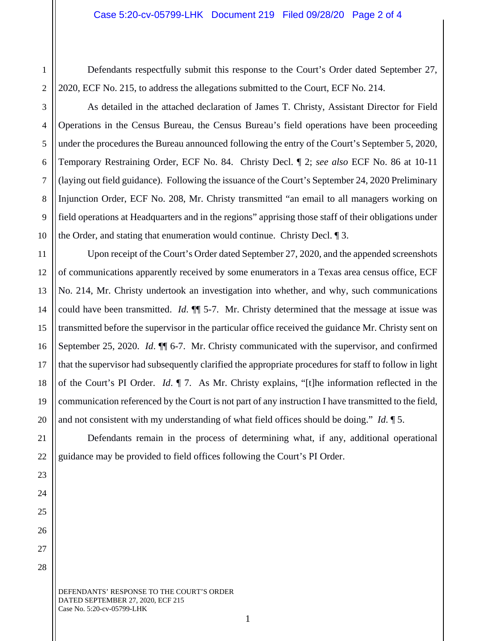Defendants respectfully submit this response to the Court's Order dated September 27, 2020, ECF No. 215, to address the allegations submitted to the Court, ECF No. 214.

As detailed in the attached declaration of James T. Christy, Assistant Director for Field Operations in the Census Bureau, the Census Bureau's field operations have been proceeding under the procedures the Bureau announced following the entry of the Court's September 5, 2020, Temporary Restraining Order, ECF No. 84. Christy Decl. ¶ 2; *see also* ECF No. 86 at 10-11 (laying out field guidance). Following the issuance of the Court's September 24, 2020 Preliminary Injunction Order, ECF No. 208, Mr. Christy transmitted "an email to all managers working on field operations at Headquarters and in the regions" apprising those staff of their obligations under the Order, and stating that enumeration would continue. Christy Decl. ¶ 3.

Upon receipt of the Court's Order dated September 27, 2020, and the appended screenshots of communications apparently received by some enumerators in a Texas area census office, ECF No. 214, Mr. Christy undertook an investigation into whether, and why, such communications could have been transmitted. *Id*. ¶¶ 5-7. Mr. Christy determined that the message at issue was transmitted before the supervisor in the particular office received the guidance Mr. Christy sent on September 25, 2020. *Id.*  $\P$  6-7. Mr. Christy communicated with the supervisor, and confirmed that the supervisor had subsequently clarified the appropriate procedures for staff to follow in light of the Court's PI Order. *Id*. ¶ 7. As Mr. Christy explains, "[t]he information reflected in the communication referenced by the Court is not part of any instruction I have transmitted to the field, and not consistent with my understanding of what field offices should be doing." *Id*. ¶ 5.

Defendants remain in the process of determining what, if any, additional operational guidance may be provided to field offices following the Court's PI Order.

DEFENDANTS' RESPONSE TO THE COURT'S ORDER DATED SEPTEMBER 27, 2020, ECF 215 Case No. 5:20-cv-05799-LHK

1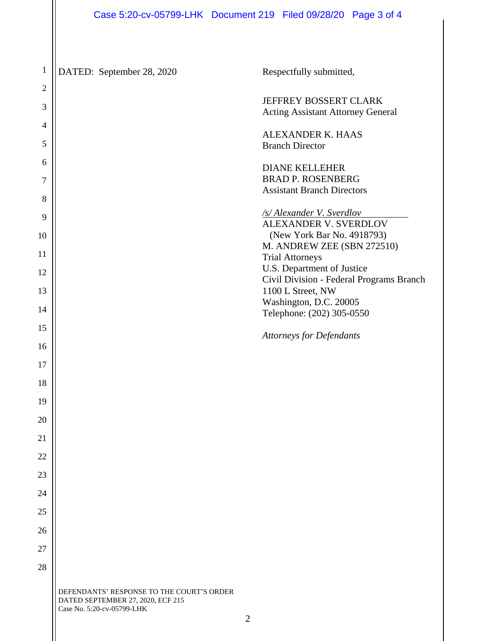DEFENDANTS' RESPONSE TO THE COURT'S ORDER DATED SEPTEMBER 27, 2020, ECF 215 Case No. 5:20-cv-05799-LHK 1 2 3 4 5 6 7 8 9 10 11 12 13 14 15 16 17 18 19 20 21 22 23 24 25 26 27 28 DATED: September 28, 2020 Respectfully submitted, JEFFREY BOSSERT CLARK Acting Assistant Attorney General ALEXANDER K. HAAS Branch Director DIANE KELLEHER BRAD P. ROSENBERG Assistant Branch Directors */s/ Alexander V. Sverdlov*  ALEXANDER V. SVERDLOV (New York Bar No. 4918793) M. ANDREW ZEE (SBN 272510) Trial Attorneys U.S. Department of Justice Civil Division - Federal Programs Branch 1100 L Street, NW Washington, D.C. 20005 Telephone: (202) 305-0550 *Attorneys for Defendants*